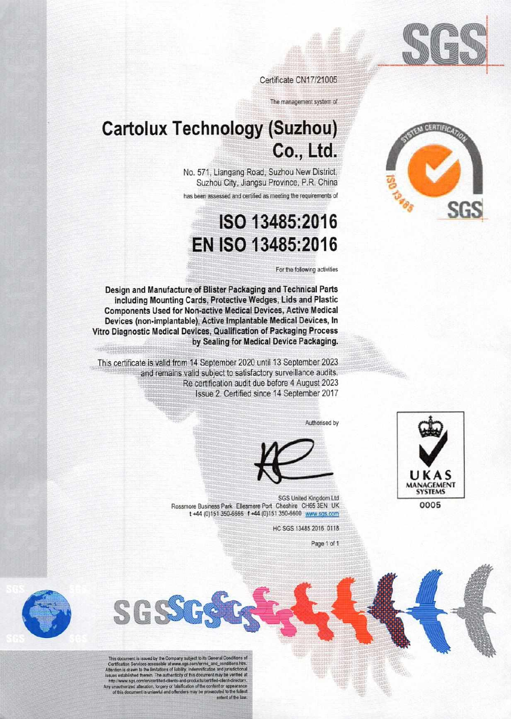

Certificate CN17/21005

The management system of

## **Cartolux Technology (Suzhou)** Co., Ltd.

No. 571, Liangang Road, Suzhou New District, Suzhou City, Jiangsu Province, P.R. China

has been assessed and certified as meeting the requirements of

## ISO 13485:2016 EN ISO 13485:2016

For the following activities

Design and Manufacture of Blister Packaging and Technical Parts including Mounting Cards, Protective Wedges, Lids and Plastic **Components Used for Non-active Medical Devices, Active Medical** Devices (non-implantable), Active Implantable Medical Devices, In Vitro Diagnostic Medical Devices, Qualification of Packaging Process by Sealing for Medical Device Packaging.

This certificate is valid from 14 September 2020 until 13 September 2023 and remains valid subject to satisfactory surveillance audits. Re certification audit due before 4 August 2023 Issue 2. Certified since 14 September 2017

Authorised by





SGS United Kingdom Ltd Rossmore Business Park Ellesmere Port Cheshire CH65 3EN UK t+44 (0) 151 350-6666 f+44 (0) 151 350-6600 www.sgs.com

HC SGS 13485 2016 0118

Page 1 of 1



This document is issued by the Company subject to its General Conditions of<br>Certification Services accessible at www.age.com/terms\_and\_conditions.htm.<br>Attention is drawn to the limitations of lability, indemnification and

SGSS





0005